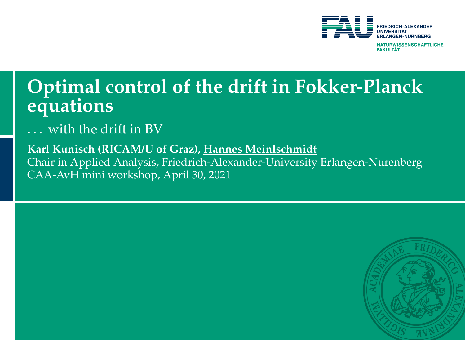

# <span id="page-0-0"></span>**Optimal control of the drift in Fokker-Planck equations**

with the drift in BV

**Karl Kunisch (RICAM/U of Graz), Hannes Meinlschmidt** Chair in Applied Analysis, Friedrich-Alexander-University Erlangen-Nurenberg CAA-AvH mini workshop, April 30, 2021

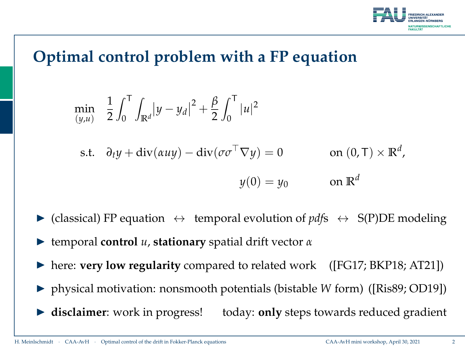

## **Optimal control problem with a FP equation**

$$
\min_{(y,u)} \quad \frac{1}{2} \int_0^T \int_{\mathbb{R}^d} |y - y_d|^2 + \frac{\beta}{2} \int_0^T |u|^2
$$

s.t. 
$$
\partial_t y + \text{div}(auy) - \text{div}(\sigma \sigma^\top \nabla y) = 0
$$
 on  $(0, \top) \times \mathbb{R}^d$ ,  
 $y(0) = y_0$  on  $\mathbb{R}^d$ 

- $\triangleright$  (classical) FP equation  $\leftrightarrow$  temporal evolution of *pdf*s  $\leftrightarrow$  S(P)DE modeling
- $\blacktriangleright$  temporal **control** *u*, **stationary** spatial drift vector *α*
- ▶ here: **very low regularity** compared to related work ([\[FG17;](#page-26-0) [BKP18;](#page-27-0) [AT21\]](#page-27-1))
- ▶ physical motivation: nonsmooth potentials (bistable *W* form) ([\[Ris89;](#page-26-1) [OD19\]](#page-27-2))
- **In disclaimer**: work in progress! today: **only** steps towards reduced gradient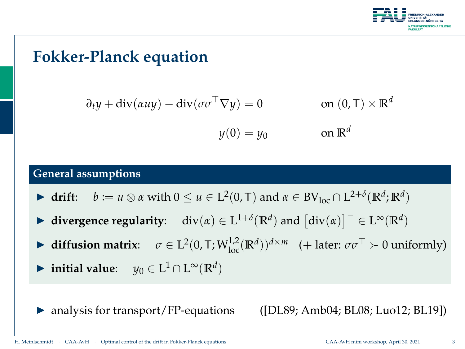

## **Fokker-Planck equation**

$$
\partial_t y + \text{div}(\alpha u y) - \text{div}(\sigma \sigma^\top \nabla y) = 0
$$
 on  $(0, \top) \times \mathbb{R}^d$   
 $y(0) = y_0$  on  $\mathbb{R}^d$ 

#### **General assumptions**

- $\blacktriangleright$  **drift**: *b* := *u* ⊗ *α* with 0 ≤ *u* ∈ L<sup>2</sup>(0, T) and *α* ∈ BV<sub>loc</sub> ∩ L<sup>2+*δ*</sup>( $\mathbb{R}^d$ ;  $\mathbb{R}^d$ )
- $\blacktriangleright$  divergence regularity: div(*α*) ∈ L<sup>1+*δ*</sup>( $\mathbb{R}^d$ ) and  $\left[\text{div}(\alpha)\right]^- \in L^\infty(\mathbb{R}^d)$
- $\triangleright$  **diffusion matrix**: *σ* ∈ L<sup>2</sup>(0, T; W<sup>1,2</sup><sub>loc</sub>(R<sup>*d*</sup>))<sup>*d*×*m*</sup> (+ later: *σσ*<sup>⊤</sup> ≻ 0 uniformly)
- ▶ initial value:  $y_0 \in L^1 \cap L^\infty(\mathbb{R}^d)$
- analysis for transport/FP-equations ([\[DL89;](#page-26-2) [Amb04;](#page-26-3) [BL08;](#page-26-4) [Luo12;](#page-26-5) [BL19\]](#page-27-3))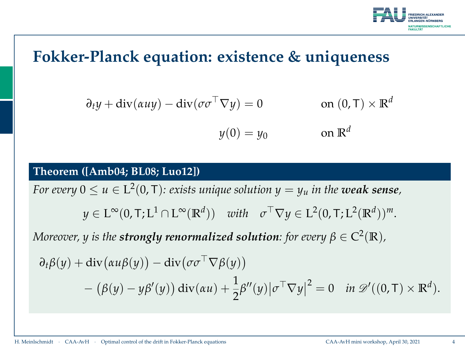

### **Fokker-Planck equation: existence & uniqueness**

$$
\partial_t y + \operatorname{div}(\alpha u y) - \operatorname{div}(\sigma \sigma^\top \nabla y) = 0 \qquad \text{on } (0, \mathsf{T}) \times \mathbb{R}^d
$$

$$
y(0) = y_0 \qquad \text{on } \mathbb{R}^d
$$

#### **Theorem ([\[Amb04;](#page-26-3) [BL08;](#page-26-4) [Luo12\]](#page-26-5))**

*For every*  $0 \leq u \in \mathrm{L}^2(0,T)$ : exists unique solution  $y = y_u$  in the **weak sense**,  $y \in L^{\infty}(0, T; L^{1} \cap L^{\infty}(\mathbb{R}^{d}))$  *with*  $\sigma^{\top} \nabla y \in L^{2}(0, T; L^{2}(\mathbb{R}^{d}))^{m}$ .  $M$ oreover,  $y$  is the  $\textbf{strongly renormalized solution:}$  for every  $\beta \in C^2(\mathbb{R})$ ,  $\partial_t \beta(y) + \text{div}(\alpha u \beta(y)) - \text{div}(\sigma \sigma^\top \nabla \beta(y))$  $-\left(\beta(y)-y\beta'(y)\right)\mathrm{div}(\alpha u)+\frac{1}{2}$ 2  $\beta''(y) | \sigma^{\top} \nabla y |$  $\vert^2 = 0$  *in*  $\mathscr{D}'((0, T) \times \mathbb{R}^d)$ .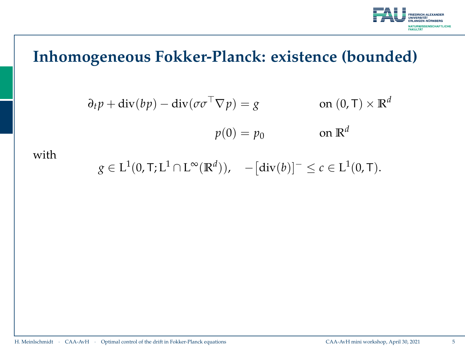

$$
\partial_t p + \text{div}(bp) - \text{div}(\sigma \sigma^\top \nabla p) = g
$$
 on  $(0, \text{T}) \times \mathbb{R}^d$   
 $p(0) = p_0$  on  $\mathbb{R}^d$ 

with

 $g \in L^1(0, T; L^1 \cap L^{\infty}(\mathbb{R}^d)), \quad -[\text{div}(b)]^- \leq c \in L^1(0, T).$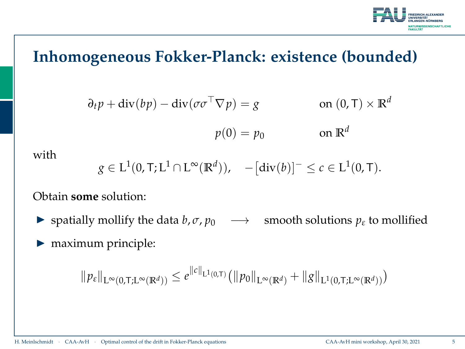

$$
\partial_t p + \text{div}(bp) - \text{div}(\sigma \sigma^\top \nabla p) = g
$$
 on  $(0, \text{T}) \times \mathbb{R}^d$   
 $p(0) = p_0$  on  $\mathbb{R}^d$ 

with

$$
g \in L^1(0, T; L^1 \cap L^{\infty}(\mathbb{R}^d)), \quad -[\text{div}(b)]^{-} \leq c \in L^1(0, T).
$$

Obtain **some** solution:

**►** spatially mollify the data *b*,  $\sigma$ ,  $p_0$   $\longrightarrow$  smooth solutions  $p_{\varepsilon}$  to mollified

 $\blacktriangleright$  maximum principle:

$$
\|p_{\varepsilon}\|_{L^{\infty}(0,T;L^{\infty}(\mathbb{R}^d))} \leq e^{\|c\|_{L^1(0,T)} (\|p_0\|_{L^{\infty}(\mathbb{R}^d)} + \|g\|_{L^1(0,T;L^{\infty}(\mathbb{R}^d))})}
$$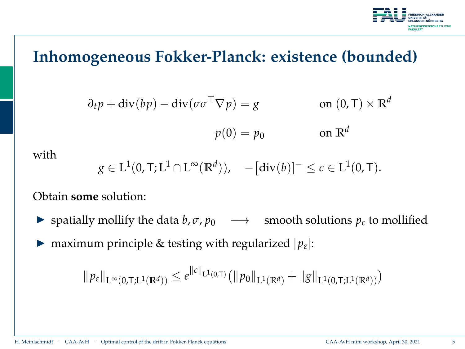

$$
\partial_t p + \text{div}(bp) - \text{div}(\sigma \sigma^\top \nabla p) = g
$$
 on  $(0, \text{T}) \times \mathbb{R}^d$   
 $p(0) = p_0$  on  $\mathbb{R}^d$ 

with

$$
g \in L^1(0, T; L^1 \cap L^{\infty}(\mathbb{R}^d)), \quad -[\text{div}(b)]^{-} \leq c \in L^1(0, T).
$$

Obtain **some** solution:

- **►** spatially mollify the data *b*,  $\sigma$ ,  $p_0$   $\longrightarrow$  smooth solutions  $p_{\varepsilon}$  to mollified
- **I** maximum principle & testing with regularized  $|p_{\varepsilon}|$ :

 $\|p_{\varepsilon}\|_{L^{\infty}(0,T;L^{1}(\mathbb{R}^{d}))} \leq e^{\|c\|_{L^{1}(0,T)} (\|p_{0}\|_{L^{1}(\mathbb{R}^{d})} + \|g\|_{L^{1}(0,T;L^{1}(\mathbb{R}^{d}))})}$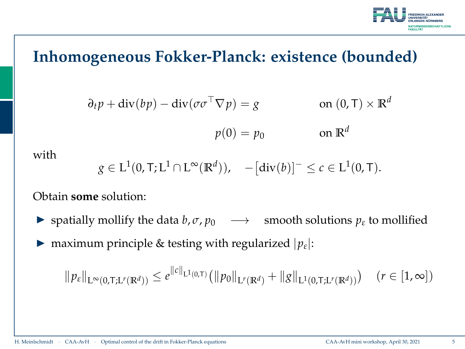

$$
\partial_t p + \text{div}(bp) - \text{div}(\sigma \sigma^\top \nabla p) = g
$$
 on  $(0, \text{T}) \times \mathbb{R}^d$   
 $p(0) = p_0$  on  $\mathbb{R}^d$ 

with

$$
g \in L^1(0, T; L^1 \cap L^{\infty}(\mathbb{R}^d)), \quad -[\text{div}(b)]^{-} \leq c \in L^1(0, T).
$$

Obtain **some** solution:

- **►** spatially mollify the data *b*,  $\sigma$ ,  $p_0$   $\longrightarrow$  smooth solutions  $p_{\varepsilon}$  to mollified
- **I** maximum principle & testing with regularized  $|p_{\varepsilon}|$ :

$$
\|p_{\varepsilon}\|_{\mathcal{L}^{\infty}(0,T; \mathcal{L}^{r}(\mathbb{R}^{d}))} \leq e^{\|c\|_{\mathcal{L}^{1}(0,T)} (\|p_{0}\|_{\mathcal{L}^{r}(\mathbb{R}^{d})} + \|g\|_{\mathcal{L}^{1}(0,T; \mathcal{L}^{r}(\mathbb{R}^{d}))}) \quad (r \in [1,\infty])
$$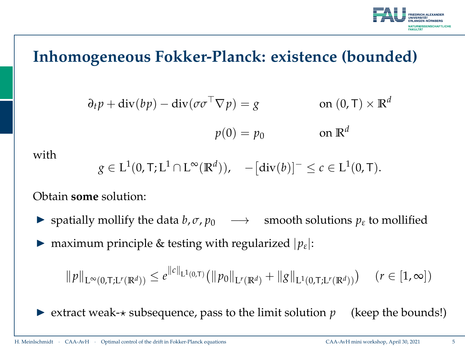

$$
\partial_t p + \text{div}(bp) - \text{div}(\sigma \sigma^\top \nabla p) = g
$$
 on  $(0, \text{T}) \times \mathbb{R}^d$   
 $p(0) = p_0$  on  $\mathbb{R}^d$ 

with

$$
g \in L^1(0, T; L^1 \cap L^{\infty}(\mathbb{R}^d)), \quad -[\text{div}(b)]^{-} \leq c \in L^1(0, T).
$$

Obtain **some** solution:

- **►** spatially mollify the data *b*,  $\sigma$ ,  $p_0$   $\longrightarrow$  smooth solutions  $p_{\varepsilon}$  to mollified
- **I** maximum principle & testing with regularized  $|p_{\varepsilon}|$ :

$$
\|p\|_{\mathcal{L}^{\infty}(0,T;\mathcal{L}^{r}(\mathbb{R}^{d}))} \leq e^{\|c\|_{\mathcal{L}^{1}(0,T)} (\|p_{0}\|_{\mathcal{L}^{r}(\mathbb{R}^{d})} + \|g\|_{\mathcal{L}^{1}(0,T;\mathcal{L}^{r}(\mathbb{R}^{d}))}) \quad (r \in [1,\infty])
$$

Extract weak- $\star$  subsequence, pass to the limit solution  $p$  (keep the bounds!)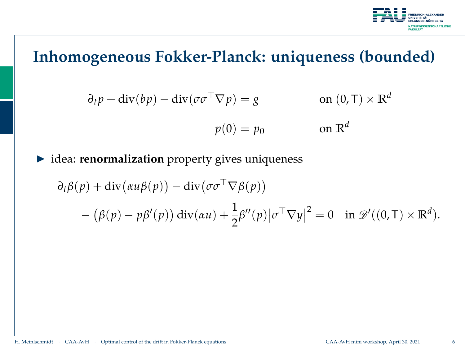

$$
\partial_t p + \text{div}(bp) - \text{div}(\sigma \sigma^\top \nabla p) = g
$$
 on  $(0, \text{T}) \times \mathbb{R}^d$   
 $p(0) = p_0$  on  $\mathbb{R}^d$ 

 $\blacktriangleright$  idea: **renormalization** property gives uniqueness

$$
\partial_t \beta(p) + \text{div}(\alpha u \beta(p)) - \text{div}(\sigma \sigma^{\top} \nabla \beta(p))
$$
  
 
$$
- (\beta(p) - p\beta'(p)) \text{div}(\alpha u) + \frac{1}{2}\beta''(p)|\sigma^{\top} \nabla y|^2 = 0 \text{ in } \mathscr{D}'((0, \mathsf{T}) \times \mathbb{R}^d).
$$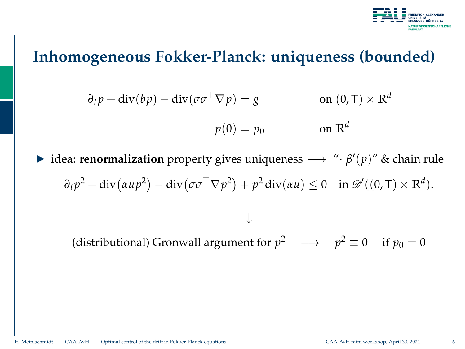

$$
\partial_t p + \text{div}(bp) - \text{div}(\sigma \sigma^\top \nabla p) = g
$$
 on  $(0, \text{T}) \times \mathbb{R}^d$   
 $p(0) = p_0$  on  $\mathbb{R}^d$ 

**►** idea: **renormalization** property gives uniqueness  $→$  "· $β'(p)$ " & chain rule  $\partial_t p^2 + \text{div}(\alpha u p^2) - \text{div}(\sigma \sigma^\top \nabla p^2) + p^2 \text{div}(\alpha u) \leq 0 \quad \text{in } \mathscr{D}'((0, \mathsf{T}) \times \mathbb{R}^d).$ ↓

(distributional) Gronwall argument for  $p^2 \longrightarrow p^2 \equiv 0$  if  $p_0 = 0$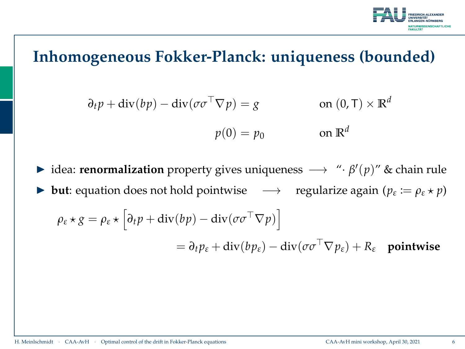

$$
\partial_t p + \text{div}(bp) - \text{div}(\sigma \sigma^\top \nabla p) = g
$$
 on  $(0, \text{T}) \times \mathbb{R}^d$   
 $p(0) = p_0$  on  $\mathbb{R}^d$ 

**►** idea: **renormalization** property gives uniqueness  $\rightarrow$  "· $\beta'(p)$ " & chain rule **►** but: equation does not hold pointwise  $\longrightarrow$  regularize again ( $p_\varepsilon := \rho_\varepsilon \star p$ )  $\rho_{\varepsilon} \star g = \rho_{\varepsilon} \star \left[ \partial_t p + \text{div}(b p) - \text{div}(\sigma \sigma^{\top} \nabla p) \right]$  $= \partial_t p_{\varepsilon} + \text{div}(bp_{\varepsilon}) - \text{div}(\sigma \sigma^{\top} \nabla p_{\varepsilon}) + R_{\varepsilon}$  pointwise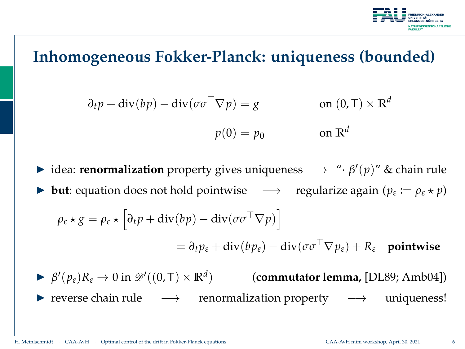

$$
\partial_t p + \text{div}(bp) - \text{div}(\sigma \sigma^\top \nabla p) = g
$$
 on  $(0, \text{T}) \times \mathbb{R}^d$   
 $p(0) = p_0$  on  $\mathbb{R}^d$ 

- **►** idea: **renormalization** property gives uniqueness  $\rightarrow$  "· $\beta'(p)$ " & chain rule **►** but: equation does not hold pointwise  $\longrightarrow$  regularize again ( $p_\varepsilon := \rho_\varepsilon \star p$ )  $\rho_{\varepsilon} \star g = \rho_{\varepsilon} \star \left[ \partial_t p + \text{div}(b p) - \text{div}(\sigma \sigma^{\top} \nabla p) \right]$  $= \partial_t p_{\varepsilon} + \text{div}(b p_{\varepsilon}) - \text{div}(\sigma \sigma^{\top} \nabla p_{\varepsilon}) + R_{\varepsilon}$  pointwise
- $\triangleright$  *β'*( $p_{\varepsilon}$ )*R*<sub> $\varepsilon$ </sub> → 0 in  $\mathscr{D}'((0, T) \times \mathbb{R}^d)$  (**commutator lemma,** [\[DL89;](#page-26-2) [Amb04\]](#page-26-3)) I reverse chain rule −→ renormalization property −→ uniqueness!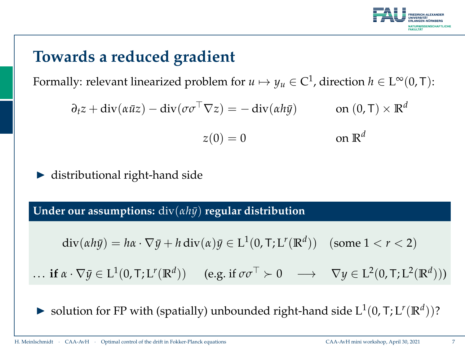

# **Towards a reduced gradient**

Formally: relevant linearized problem for  $u \mapsto y_u \in C^1$ , direction  $h \in L^\infty(0,T)$ :

$$
\partial_t z + \text{div}(\alpha \bar{u}z) - \text{div}(\sigma \sigma^\top \nabla z) = -\text{div}(\alpha h \bar{y}) \qquad \text{on } (0, \top) \times \mathbb{R}^d
$$

$$
z(0) = 0 \qquad \text{on } \mathbb{R}^d
$$

distributional right-hand side

**Under our assumptions:** div(*αhy*¯) **regular distribution**

$$
\operatorname{div}(\alpha h \bar{y}) = h\alpha \cdot \nabla \bar{y} + h \operatorname{div}(\alpha) \bar{y} \in L^1(0, T; L^r(\mathbb{R}^d)) \quad \text{(some } 1 < r < 2)
$$

 $\ldots$  if  $\alpha \cdot \nabla \bar{y} \in L^1(0, T; L^r(\mathbb{R}^d))$  (e.g. if  $\sigma \sigma^{\top} \succ 0 \longrightarrow \nabla y \in L^2(0, T; L^2(\mathbb{R}^d)))$ 

Solution for FP with (spatially) unbounded right-hand side  $L^1(0, T; L^r(\mathbb{R}^d))$ ?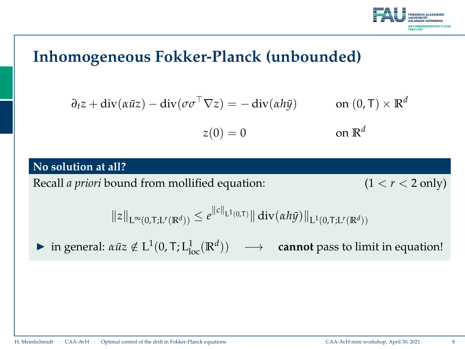

## **Inhomogeneous Fokker-Planck (unbounded)**

$$
\partial_t z + \text{div}(\alpha \bar{u}z) - \text{div}(\sigma \sigma^\top \nabla z) = -\text{div}(\alpha h \bar{y}) \qquad \text{on } (0, \top) \times \mathbb{R}^d
$$

$$
z(0) = 0 \qquad \text{on } \mathbb{R}^d
$$

#### **No solution at all?**

Recall *a priori* bound from mollified equation: (1 < *r* < 2 only)

 $||z||_{L^{\infty}(0,T;L^{r}(\mathbb{R}^{d}))} \leq e^{||c||_{L^{1}(0,T)}||} \operatorname{div}(\alpha h\bar{y})||_{L^{1}(0,T;L^{r}(\mathbb{R}^{d}))}$ 

 $\triangleright$  in general: *αūz* ∉ L<sup>1</sup>(0, T; L<sub>loc</sub>( $\mathbb{R}^d$ ))  $\longrightarrow$  **cannot** pass to limit in equation!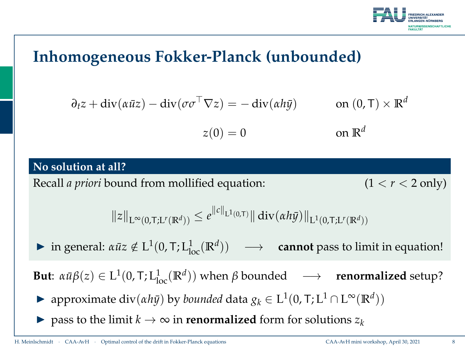

## **Inhomogeneous Fokker-Planck (unbounded)**

$$
\partial_t z + \text{div}(\alpha \bar{u}z) - \text{div}(\sigma \sigma^\top \nabla z) = -\text{div}(\alpha h \bar{y}) \qquad \text{on } (0, \top) \times \mathbb{R}^d
$$

$$
z(0) = 0 \qquad \text{on } \mathbb{R}^d
$$

#### **No solution at all?**

Recall *a priori* bound from mollified equation: (1 < *r* < 2 only)

 $||z||_{L^{\infty}(0,T;L^{r}(\mathbb{R}^{d}))} \leq e^{||c||_{L^{1}(0,T)}||} \operatorname{div}(\alpha h\bar{y})||_{L^{1}(0,T;L^{r}(\mathbb{R}^{d}))}$ 

 $\triangleright$  in general: *αūz* ∉ L<sup>1</sup>(0, T; L<sub>loc</sub>( $\mathbb{R}^d$ ))  $\longrightarrow$  **cannot** pass to limit in equation!

**But**:  $\alpha \bar{u} \beta(z) \in L^1(0, T; L^1_{loc}(\mathbb{R}^d))$  when  $\beta$  bounded  $\longrightarrow$  **renormalized** setup?

- $\triangleright$  approximate div(*αh* $\bar{y}$ ) by *bounded* data *g*<sup>*k*</sup> ∈ L<sup>1</sup>(0, T; L<sup>1</sup> ∩ L<sup>∞</sup>( $\mathbb{R}^d$ ))
- $\triangleright$  pass to the limit *k* → ∞ in **renormalized** form for solutions  $z_k$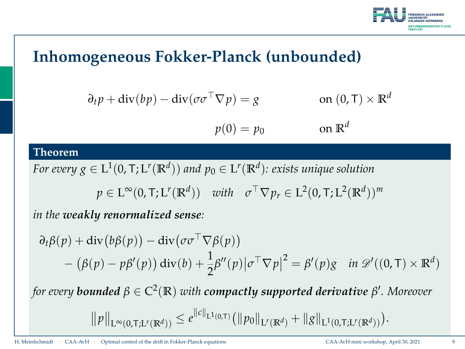

## **Inhomogeneous Fokker-Planck (unbounded)**

$$
\partial_t p + \text{div}(bp) - \text{div}(\sigma \sigma^\top \nabla p) = g
$$
 on  $(0, \text{T}) \times \mathbb{R}^d$   
 $p(0) = p_0$  on  $\mathbb{R}^d$ 

#### **Theorem**

For every  $g \in L^1(0,T;L^r(\mathbb{R}^d))$  and  $p_0 \in L^r(\mathbb{R}^d)$ : exists unique solution

$$
p \in \mathcal{L}^{\infty}(0, T; \mathcal{L}^{r}(\mathbb{R}^{d})) \quad with \quad \sigma^{\top} \nabla p_{r} \in \mathcal{L}^{2}(0, T; \mathcal{L}^{2}(\mathbb{R}^{d}))^{m}
$$

*in the weakly renormalized sense:*

$$
\partial_t \beta(p) + \text{div}(b\beta(p)) - \text{div}(\sigma \sigma^{\top} \nabla \beta(p))
$$
  
 
$$
- (\beta(p) - p\beta'(p)) \text{div}(b) + \frac{1}{2}\beta''(p) |\sigma^{\top} \nabla p|^2 = \beta'(p)g \quad \text{in } \mathcal{D}'((0, \text{T}) \times \mathbb{R}^d)
$$
  
for every **bounded**  $\beta \in C^2(\mathbb{R})$  with **compar supported derivative**  $\beta'$ . Moreover

$$
\|\rho\|_{L^{\infty}(0,T;L^{r}(\mathbb{R}^d))} \leq e^{\|c\|_{L^{1}(0,T)} (\|\rho_0\|_{L^{r}(\mathbb{R}^d)} + \|g\|_{L^{1}(0,T;L^{r}(\mathbb{R}^d))}).
$$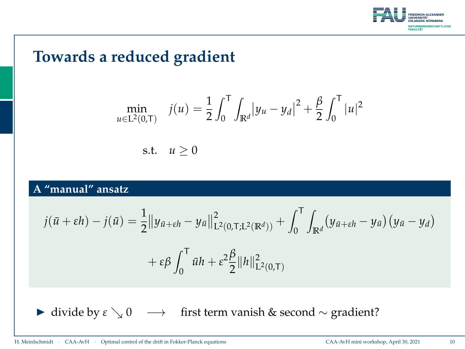

## **Towards a reduced gradient**

$$
\min_{u \in L^{2}(0,T)} \quad j(u) = \frac{1}{2} \int_{0}^{T} \int_{\mathbb{R}^{d}} |y_{u} - y_{d}|^{2} + \frac{\beta}{2} \int_{0}^{T} |u|^{2}
$$
\ns.t.

\n
$$
u \geq 0
$$

### **A "manual" ansatz**

$$
j(\bar{u} + \varepsilon h) - j(\bar{u}) = \frac{1}{2} ||y_{\bar{u} + \varepsilon h} - y_{\bar{u}}||_{L^2(0, T; L^2(\mathbb{R}^d))}^2 + \int_0^T \int_{\mathbb{R}^d} (y_{\bar{u} + \varepsilon h} - y_{\bar{u}}) (y_{\bar{u}} - y_d) + \varepsilon \beta \int_0^T \bar{u} h + \varepsilon^2 \frac{\beta}{2} ||h||_{L^2(0, T)}^2
$$

**I** divide by  $\epsilon \searrow 0 \rightarrow$  first term vanish & second ∼ gradient?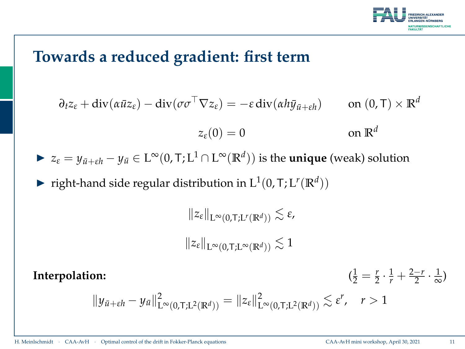

### **Towards a reduced gradient: first term**

$$
\partial_t z_{\varepsilon} + \text{div}(\alpha \bar{u} z_{\varepsilon}) - \text{div}(\sigma \sigma^{\top} \nabla z_{\varepsilon}) = -\varepsilon \text{div}(\alpha h \bar{y}_{\bar{u} + \varepsilon h}) \qquad \text{on } (0, \mathsf{T}) \times \mathbb{R}^d
$$

$$
z_{\varepsilon}(0) = 0 \qquad \text{on } \mathbb{R}^d
$$

- $\blacktriangleright$  *z*<sub>*ε*</sub> = *y*<sub>*u*</sub><sup>*+εh*</sub> − *y*<sub>*u*</sub></sub> ∈ L<sup>∞</sup>(0, T; L<sup>1</sup> ∩ L<sup>∞</sup>(R<sup>*d*</sup>)) is the **unique** (weak) solution</sup>
- right-hand side regular distribution in  $L^1(0, T; L^r(\mathbb{R}^d))$

 $||z_{\varepsilon}||_{L^{\infty}(0,T;L^{r}(\mathbb{R}^{d}))} \lesssim \varepsilon$ ,  $||z_{\varepsilon}||_{L^{\infty}(0,T;L^{\infty}(\mathbb{R}^d))} \lesssim 1$ 

**Interpolation:** (

 $\frac{1}{2} = \frac{r}{2} \cdot \frac{1}{r} + \frac{2-r}{2} \cdot \frac{1}{\infty}$  $\frac{1}{\infty}$ 

$$
||y_{\bar{u}+\varepsilon h}-y_{\bar{u}}||^2_{L^{\infty}(0,T;L^2(\mathbb{R}^d))}=||z_{\varepsilon}||^2_{L^{\infty}(0,T;L^2(\mathbb{R}^d))}\lesssim \varepsilon^r, \quad r>1
$$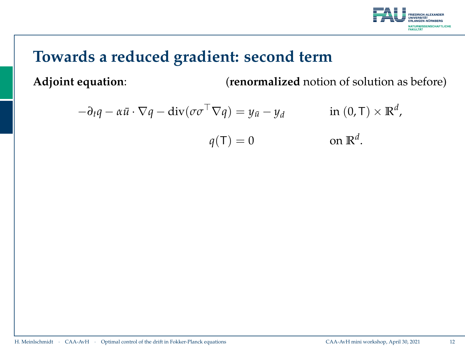

# **Towards a reduced gradient: second term**

**Adjoint equation**: (**renormalized** notion of solution as before)

$$
-\partial_t q - \alpha \bar{u} \cdot \nabla q - \text{div}(\sigma \sigma^\top \nabla q) = y_{\bar{u}} - y_d \qquad \text{in (0, T)} \times \mathbb{R}^d,
$$
  

$$
q(\mathsf{T}) = 0 \qquad \text{on } \mathbb{R}^d.
$$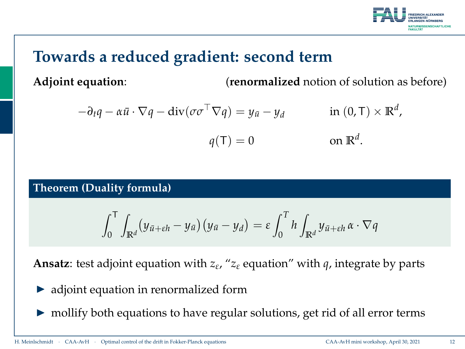

# **Towards a reduced gradient: second term**

**Adjoint equation**: (**renormalized** notion of solution as before)

$$
-\partial_t q - \alpha \bar{u} \cdot \nabla q - \text{div}(\sigma \sigma^\top \nabla q) = y_{\bar{u}} - y_d \qquad \text{in (0, T)} \times \mathbb{R}^d,
$$
  

$$
q(\mathsf{T}) = 0 \qquad \text{on } \mathbb{R}^d.
$$

**Theorem (Duality formula)**

$$
\int_0^T \int_{\mathbb{R}^d} (y_{\bar{u}+\varepsilon h} - y_{\bar{u}}) (y_{\bar{u}} - y_d) = \varepsilon \int_0^T h \int_{\mathbb{R}^d} y_{\bar{u}+\varepsilon h} \alpha \cdot \nabla q
$$

**Ansatz**: test adjoint equation with *z<sup>ε</sup>* , "*z<sup>ε</sup>* equation" with *q*, integrate by parts

- adjoint equation in renormalized form
- $\triangleright$  mollify both equations to have regular solutions, get rid of all error terms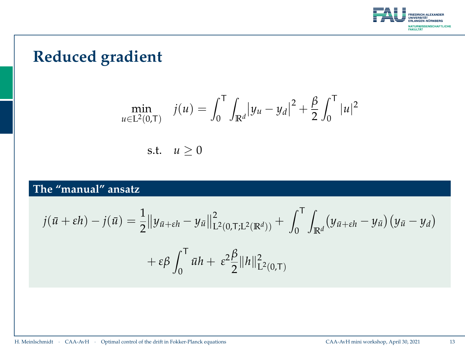

# **Reduced gradient**

$$
\min_{u \in L^{2}(0,T)} \quad j(u) = \int_{0}^{T} \int_{\mathbb{R}^{d}} |y_{u} - y_{d}|^{2} + \frac{\beta}{2} \int_{0}^{T} |u|^{2}
$$
\ns.t.

\n
$$
u \geq 0
$$

### **The "manual" ansatz**

$$
j(\bar{u} + \varepsilon h) - j(\bar{u}) = \frac{1}{2} ||y_{\bar{u} + \varepsilon h} - y_{\bar{u}}||_{L^2(0, T; L^2(\mathbb{R}^d))}^2 + \int_0^T \int_{\mathbb{R}^d} (y_{\bar{u} + \varepsilon h} - y_{\bar{u}}) (y_{\bar{u}} - y_d) + \varepsilon \beta \int_0^T \bar{u} h + \varepsilon^2 \frac{\beta}{2} ||h||_{L^2(0, T)}^2
$$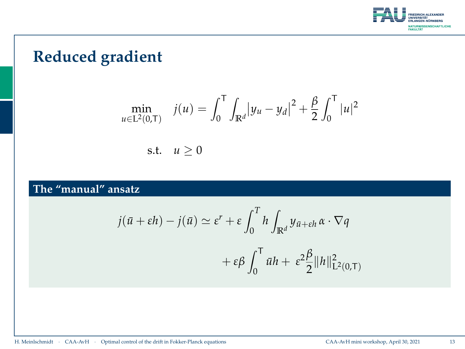

# **Reduced gradient**

$$
\min_{u \in L^{2}(0,T)} \quad j(u) = \int_{0}^{T} \int_{\mathbb{R}^{d}} |y_{u} - y_{d}|^{2} + \frac{\beta}{2} \int_{0}^{T} |u|^{2}
$$
\ns.t.

\n
$$
u \geq 0
$$

### **The "manual" ansatz**

$$
j(\bar{u} + \varepsilon h) - j(\bar{u}) \simeq \varepsilon^r + \varepsilon \int_0^T h \int_{\mathbb{R}^d} y_{\bar{u} + \varepsilon h} \alpha \cdot \nabla q
$$

$$
+ \varepsilon \beta \int_0^T \bar{u} h + \varepsilon^2 \frac{\beta}{2} ||h||^2_{\mathcal{L}^2(0,T)}
$$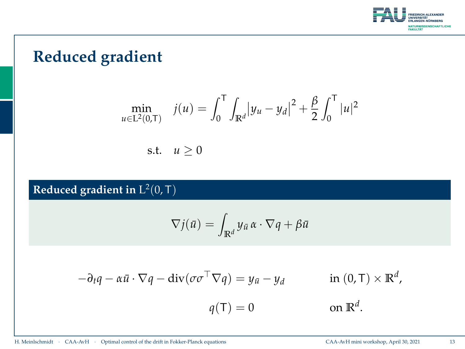

# **Reduced gradient**

$$
\min_{u \in L^{2}(0,T)} \quad j(u) = \int_{0}^{T} \int_{\mathbb{R}^{d}} |y_{u} - y_{d}|^{2} + \frac{\beta}{2} \int_{0}^{T} |u|^{2}
$$
\ns.t.

\n
$$
u \geq 0
$$

Reduced gradient in  $\mathrm{L}^2(0,\mathsf{T})$ 

$$
\nabla j(\bar{u}) = \int_{\mathbb{R}^d} y_{\bar{u}} \alpha \cdot \nabla q + \beta \bar{u}
$$

$$
-\partial_t q - \alpha \bar{u} \cdot \nabla q - \text{div}(\sigma \sigma^\top \nabla q) = y_{\bar{u}} - y_d \qquad \text{in (0, T)} \times \mathbb{R}^d,
$$
  

$$
q(\mathsf{T}) = 0 \qquad \text{on } \mathbb{R}^d.
$$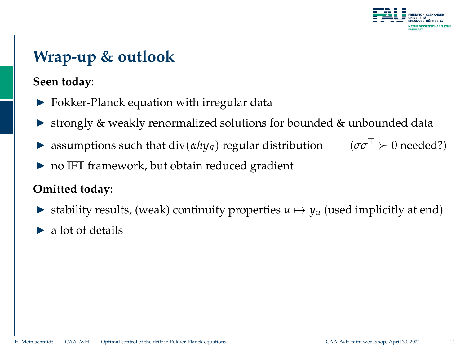

# **Wrap-up & outlook**

### **Seen today**:

- I Fokker-Planck equation with irregular data
- ▶ strongly & weakly renormalized solutions for bounded & unbounded data
- **If** assumptions such that  $\text{div}(a h y_{\bar{u}})$  regular distribution  $(\sigma \sigma^{\top} \succ 0 \text{ needed}^2)$
- $\triangleright$  no IFT framework, but obtain reduced gradient

### **Omitted today**:

- In stability results, (weak) continuity properties  $u \mapsto y_u$  (used implicitly at end)
- $\blacktriangleright$  a lot of details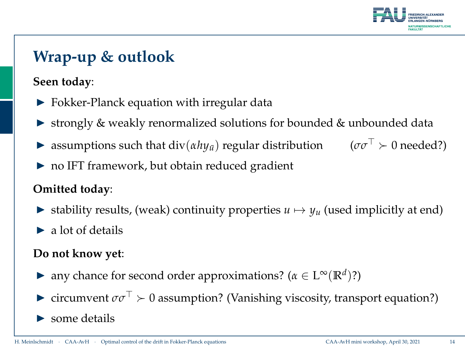

# **Wrap-up & outlook**

### **Seen today**:

- $\triangleright$  Fokker-Planck equation with irregular data
- In strongly & weakly renormalized solutions for bounded & unbounded data
- **I** assumptions such that  $\text{div}(\alpha h y_{\bar{u}})$  regular distribution ( $\sigma \sigma^{\top} \succ 0$  needed?)
- $\triangleright$  no IFT framework, but obtain reduced gradient

### **Omitted today**:

- In stability results, (weak) continuity properties  $u \mapsto y_u$  (used implicitly at end)
- $\blacktriangleright$  a lot of details

### **Do not know yet**:

- ► any chance for second order approximations? ( $\alpha \in L^{\infty}(\mathbb{R}^d)$ ?)
- **I** circumvent  $\sigma\sigma^{\top} \succ 0$  assumption? (Vanishing viscosity, transport equation?)
- some details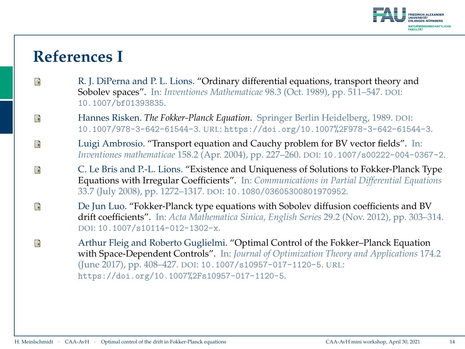

## **References I**

- <span id="page-26-2"></span>F R. J. DiPerna and P. L. Lions. "Ordinary differential equations, transport theory and Sobolev spaces". In: *Inventiones Mathematicae* 98.3 (Oct. 1989), pp. 511–547. DOI: [10.1007/bf01393835](http://dx.doi.org/10.1007/bf01393835).
- <span id="page-26-1"></span>Hannes Risken. *The Fokker-Planck Equation*. Springer Berlin Heidelberg, 1989. DOI: F [10.1007/978-3-642-61544-3](http://dx.doi.org/10.1007/978-3-642-61544-3). URL: <https://doi.org/10.1007%2F978-3-642-61544-3>.
- <span id="page-26-3"></span>F Luigi Ambrosio. "Transport equation and Cauchy problem for BV vector fields". In: *Inventiones mathematicae* 158.2 (Apr. 2004), pp. 227–260. DOI: [10.1007/s00222-004-0367-2](http://dx.doi.org/10.1007/s00222-004-0367-2).
- <span id="page-26-4"></span>F C. Le Bris and P.-L. Lions. "Existence and Uniqueness of Solutions to Fokker-Planck Type Equations with Irregular Coefficients". In: *Communications in Partial Differential Equations* 33.7 (July 2008), pp. 1272–1317. DOI: [10.1080/03605300801970952](http://dx.doi.org/10.1080/03605300801970952).
- <span id="page-26-5"></span>F De Jun Luo. "Fokker-Planck type equations with Sobolev diffusion coefficients and BV drift coefficients". In: *Acta Mathematica Sinica, English Series* 29.2 (Nov. 2012), pp. 303–314. DOI: [10.1007/s10114-012-1302-x](http://dx.doi.org/10.1007/s10114-012-1302-x).
- <span id="page-26-0"></span>Arthur Fleig and Roberto Guglielmi. "Optimal Control of the Fokker–Planck Equation F with Space-Dependent Controls". In: *Journal of Optimization Theory and Applications* 174.2 (June 2017), pp. 408–427. DOI: [10.1007/s10957-017-1120-5](http://dx.doi.org/10.1007/s10957-017-1120-5). URL: <https://doi.org/10.1007%2Fs10957-017-1120-5>.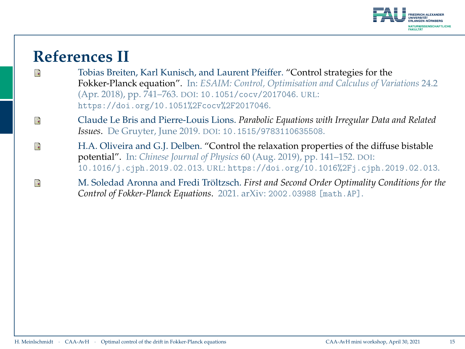

## **References II**

<span id="page-27-1"></span>F

- <span id="page-27-0"></span>Tobias Breiten, Karl Kunisch, and Laurent Pfeiffer. "Control strategies for the F Fokker-Planck equation". In: *ESAIM: Control, Optimisation and Calculus of Variations* 24.2 (Apr. 2018), pp. 741–763. DOI: [10.1051/cocv/2017046](http://dx.doi.org/10.1051/cocv/2017046). URL: <https://doi.org/10.1051%2Fcocv%2F2017046>.
- <span id="page-27-3"></span>Claude Le Bris and Pierre-Louis Lions. *Parabolic Equations with Irregular Data and Related* F *Issues*. De Gruyter, June 2019. DOI: [10.1515/9783110635508](http://dx.doi.org/10.1515/9783110635508).
- <span id="page-27-2"></span>H.A. Oliveira and G.J. Delben. "Control the relaxation properties of the diffuse bistable  $\mathbb{R}$ potential". In: *Chinese Journal of Physics* 60 (Aug. 2019), pp. 141–152. DOI: [10.1016/j.cjph.2019.02.013](http://dx.doi.org/10.1016/j.cjph.2019.02.013). URL: <https://doi.org/10.1016%2Fj.cjph.2019.02.013>.
	- M. Soledad Aronna and Fredi Tröltzsch. *First and Second Order Optimality Conditions for the Control of Fokker-Planck Equations*. 2021. arXiv: [2002.03988 \[math.AP\]](http://arxiv.org/abs/2002.03988).